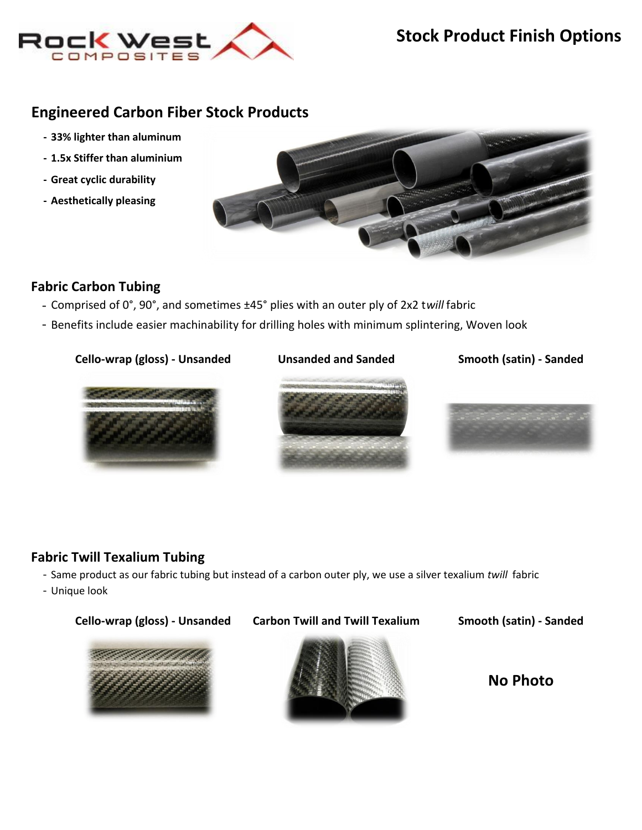

# **Engineered Carbon Fiber Stock Products**

- **- 33% lighter than aluminum**
- **- 1.5x Stiffer than aluminium**
- **- Great cyclic durability**
- **- Aesthetically pleasing**



### **[Fab](http://www.rockwestcomposites.com/browse/fabric-carbon-tubing)ric Carbon Tubing**

- Comprised of 0°, 90°, and sometimes ±45° plies with an outer ply of 2x2 t*will* fabric
- Benefits include easier machinability for drilling holes with minimum splintering, Woven look

### **Cello-wrap (gloss) - Unsanded**



**Unsanded and Sanded Smooth (satin) - Sanded**





## **[Fab](http://www.rockwestcomposites.com/browse/silver-texalium-fabric-carbon-tubing)ric Twill Texalium Tubing**

- Same product as our fabric tubing but instead of a carbon outer ply, we use a silver texalium *twill* fabric
- Unique look



**No Photo**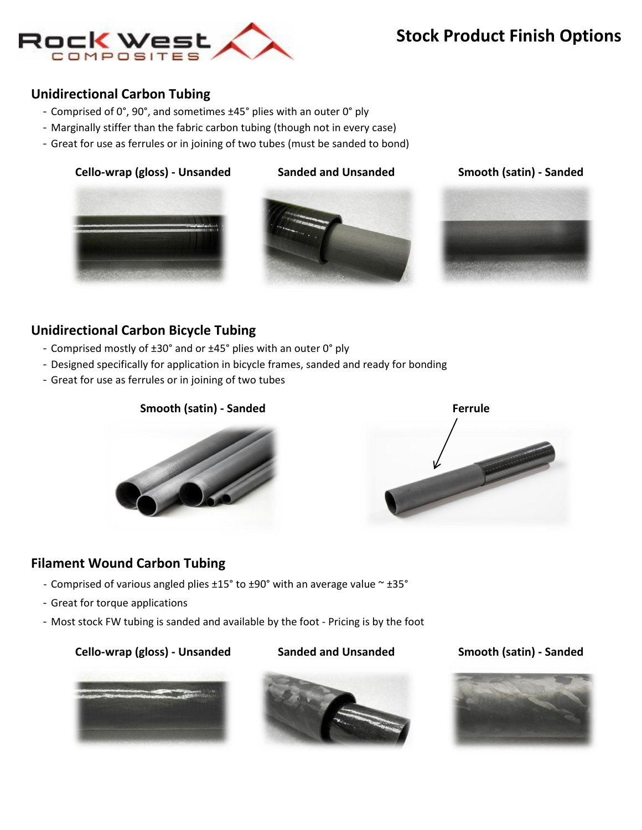

# **Stock Product Finish Options**

## **[Un](http://www.rockwestcomposites.com/browse/unidirectional-carbon-tubing)idirectional Carbon Tubing**

- Comprised of 0°, 90°, and sometimes ±45° plies with an outer 0° ply
- Marginally stiffer than the fabric carbon tubing (though not in every case)
- Great for use as ferrules or in joining of two tubes (must be sanded to bond)

### **Cello-wrap (gloss) - Unsanded Sanded and Unsanded**

**Smooth (satin) - Sanded**





## **[Un](http://www.rockwestcomposites.com/browse/carbon-bicycle-frame-tubing)idirectional Carbon Bicycle Tubing**

- Comprised mostly of ±30° and or ±45° plies with an outer 0° ply
- Designed specifically for application in bicycle frames, sanded and ready for bonding
- Great for use as ferrules or in joining of two tubes





## **[Filament Wound Carbon Tubing](http://www.rockwestcomposites.com/browse/filament-wound-carbon-tubing)**

- Comprised of various angled plies ±15° to ±90° with an average value ~ ±35°
- Great for torque applications
- Most stock FW tubing is sanded and available by the foot Pricing is by the foot

### **Cello-wrap (gloss) - Unsanded Sanded and Unsanded Smooth (satin) - Sanded**